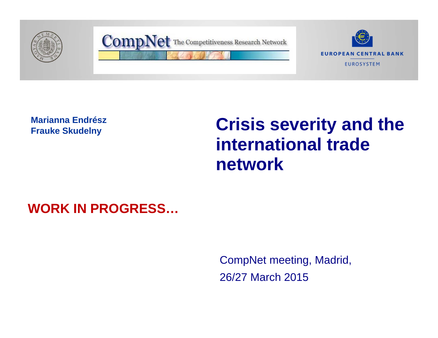

**Marianna Endrész Frauke Skudelny**

# **Crisis severity and the international trade network**

# **WORK IN PROGRESS…**

CompNet meeting, Madrid, 26/27 March 2015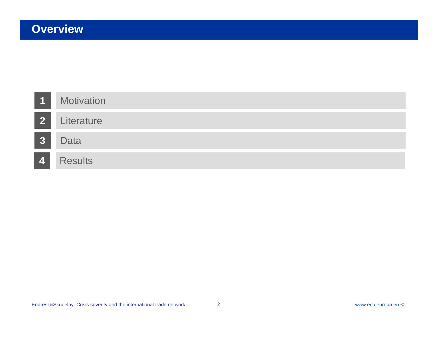| $\overline{\mathbf{1}}$ | <b>Motivation</b> |
|-------------------------|-------------------|
| 2 <sup>1</sup>          | Literature        |
| <b>3</b>                | <b>Data</b>       |
| $\vert$ 4 $\vert$       | <b>Results</b>    |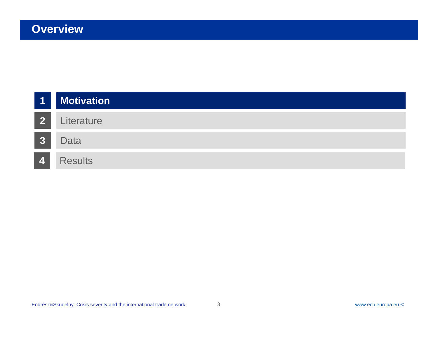| <b>11</b><br>$\mathbb{R}^2$ | <b>Motivation</b> |
|-----------------------------|-------------------|
| $\overline{2}$              | Literature        |
| 3                           | <b>Data</b>       |
| $\vert \mathbf{A} \vert$    | <b>Results</b>    |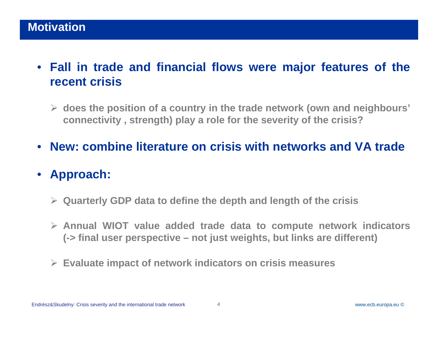- **Fall in trade and financial flows were major features of the recent crisis**
	- $\triangleright$  does the position of a country in the trade network (own and neighbours' connectivity, strength) play a role for the severity of the crisis?
- **New: combine literature on crisis with networks and VA trade**
- $\bullet$  **Approach:**
	- **Quarterly GDP data to define the depth and length of the crisis**
	- **Annual WIOT value added trade data to compute network indicators** (-> final user perspective – not just weights, but links are different)
	- **Evaluate impact of network indicators on crisis measures**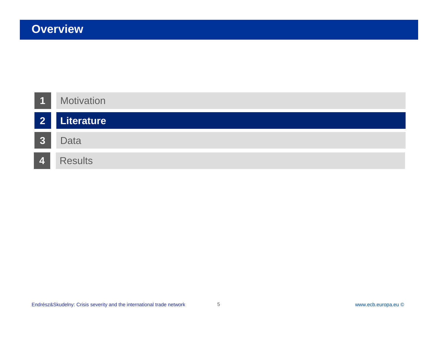| $\overline{1}$ | <b>Motivation</b> |
|----------------|-------------------|
| $\overline{2}$ | Literature        |
| <b>3</b>       | Data              |
| 4              | <b>Results</b>    |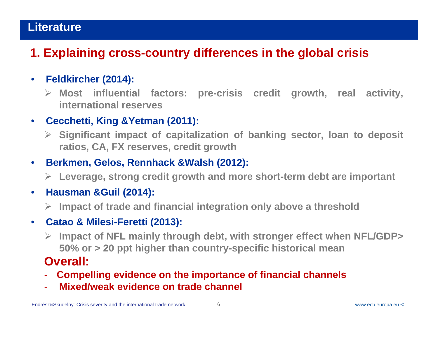# Literature

# **1. Explaining cross-country differences in the global crisis**

#### $\bullet$ **Feldkircher (2014):**

 **Most influential factors: pre-crisis credit growth, real activity, international reserves**

#### $\bullet$ **Cecchetti, King &Yetman (2011):**

 **Significant impact of capitalization of banking sector, loan to deposit ratios, CA, FX reserves, credit growth**

#### $\bullet$ **Berkmen, Gelos, Rennhack &Walsh (2012):**

**Leverage, strong credit growth and more short-term debt are important**

#### $\bullet$ **Hausman &Guil (2014):**

**Impact of trade and financial integration only above <sup>a</sup> threshold**

#### $\bullet$ **Catao & Milesi-Feretti (2013):**

 **Impact of NFL mainly through debt, with stronger effect when NFL/GDP> 50% or <sup>&</sup>gt; 20 ppt higher than country-specific historical mean**

#### **Overall:**

- **Compelling evidence on the importance of financial channels**
- -**Mixed/weak evidence on trade channel**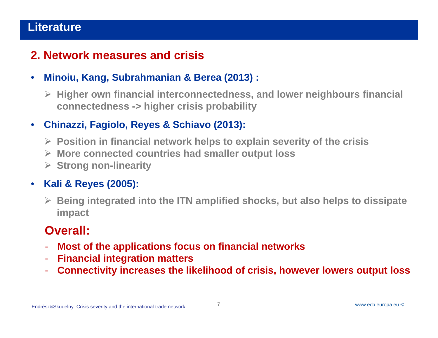# Literature

# **2. Network measures and crisis**

- $\bullet$  **Minoiu, Kang, Subrahmanian & Berea (2013) :**
	- **Higher own financial interconnectedness, and lower neighbours financial connectedness -> higher crisis probability**

#### $\bullet$ **Chinazzi, Fagiolo, Reyes & Schiavo (2013):**

- **Position in financial network helps to explain severity of the crisis**
- **More connected countries had smaller output loss**
- **Strong non-linearity**

#### $\bullet$ **Kali & Reyes (2005):**

 **Being integrated into the ITN amplified shocks, but also helps to dissipate impact**

# **Overall:**

- -**Most of the applications focus on financial networks**
- -**Financial integration matters**
- -**Connectivity increases the likelihood of crisis, however lowers output loss**

7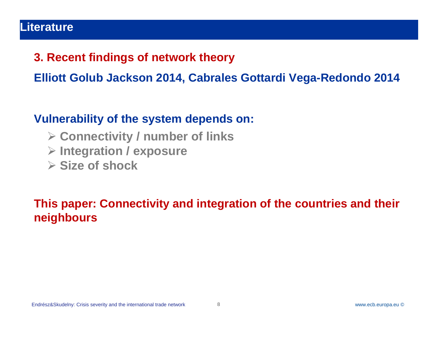#### Literature

### **3. Recent findings of network theory**

**Elliott Golub Jackson 2014, Cabrales Gottardi Vega-Redondo 2014**

### **Vulnerability of the system depends on:**

- **Connectivity / number of links**
- **Integration / exposure**
- **Size of shock**

# **This paper: Connectivity and integration of the countries and their neighbours**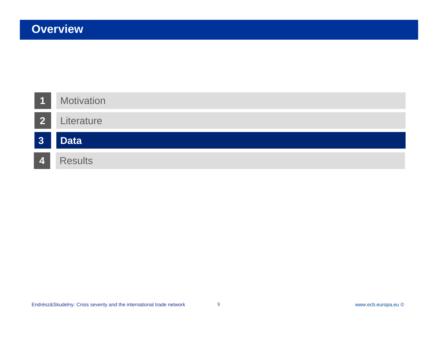| $\overline{1}$ | <b>Motivation</b> |
|----------------|-------------------|
| <b>2</b>       | Literature        |
|                |                   |
| 3 <sup>1</sup> | <b>Data</b>       |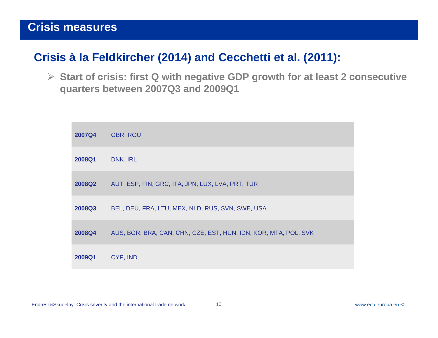# **Crisis à la Feldkircher (2014) and Cecchetti et al. (2011):**

 **Start of crisis: first Q with negative GDP growth for at least 2 consecutive quarters between 2007Q3 and 2009Q1**

| <b>2007Q4</b> | <b>GBR, ROU</b>                                                 |
|---------------|-----------------------------------------------------------------|
| 2008Q1        | DNK, IRL                                                        |
| <b>2008Q2</b> | AUT, ESP, FIN, GRC, ITA, JPN, LUX, LVA, PRT, TUR                |
| 2008Q3        | BEL, DEU, FRA, LTU, MEX, NLD, RUS, SVN, SWE, USA                |
| 2008Q4        | AUS, BGR, BRA, CAN, CHN, CZE, EST, HUN, IDN, KOR, MTA, POL, SVK |
| 2009Q1        | CYP, IND                                                        |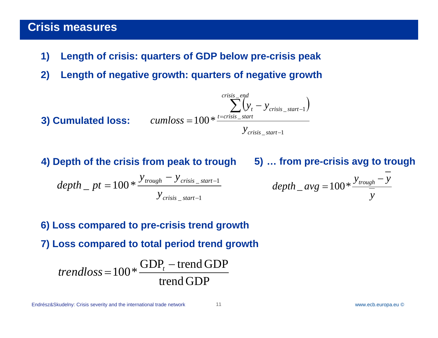- **1) Length of crisis: quarters of GDP below pre-crisis peak**
- **2) Length of negative growth: quarters of negative growth**
- **3) Cumulated loss:**  $\qquad \qquad cumloss = 100* ^{\frac{t cmss}{t}}$  $\sum_{t}^{n} (y_t - y_{crisis\_start-1})$ 1*crisis start y* \_  $\sum (y_t - y_{\text{crisis\_start-1}})$  $=100 * 12$ *crisis end* $cumloss$  =  $100$   $*$   $\frac{t=crisis\_start}{t}$  $y_t - y_{crisis}$  *start*

**4) Depth of the crisis from peak to trough 5) … from pre-crisis avg to trough**

$$
depth\_pt = 100 * \frac{y_{trough} - y_{crisis\_start-1}}{y_{crisis\_start-1}}
$$

\_

$$
depth_{avg} = 100 * \frac{y_{trough} - y}{y}
$$

**6) Loss compared to pre-crisis trend growth**

**7) Loss compared to total period trend growth**

$$
trendloss = 100 * \frac{GDP_t - trend GDP}{trend GDP}
$$

Endrész&Skudelny: Crisis severity and the international trade network

www.ecb.europa.eu ©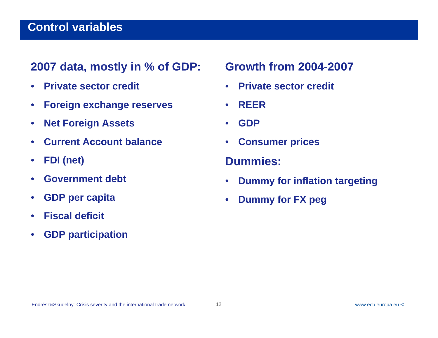### **Control variables**

### **2007 data, mostly in % of GDP:**

- $\bullet$ **Private sector credit**
- $\bullet$ **Foreign exchange reserves**
- $\bullet$ **Net Foreign Assets**
- •**Current Account balance**
- $\bullet$ **FDI (net)**
- •**Government debt**
- $\bullet$ **GDP per capita**
- $\bullet$ **Fiscal deficit**
- $\bullet$ **GDP participation**

# **Growth from 2004-2007**

- $\bullet$ **Private sector credit**
- $\bullet$ **REER**
- $\bullet$ **GDP**
- $\bullet$ **Consumer prices**

#### **Dummies:**

- $\bullet$ **Dummy for inflation targeting**
- $\bullet$ **Dummy for FX peg**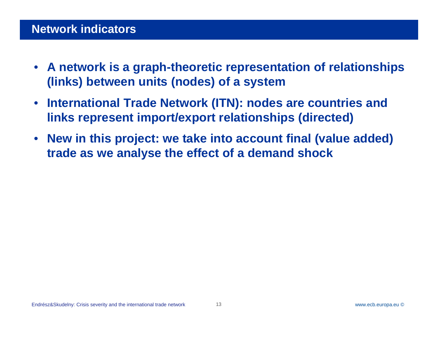#### **Network indicators**

- $\bullet$  **A network is a graph-theoretic representation of relationships (links) between units (nodes) of a system**
- $\bullet$  **International Trade Network (ITN): nodes are countries and links represent import/export relationships (directed)**
- $\bullet$  **New in this project: we take into account final (value added) trade as we analyse the effect of a demand shock**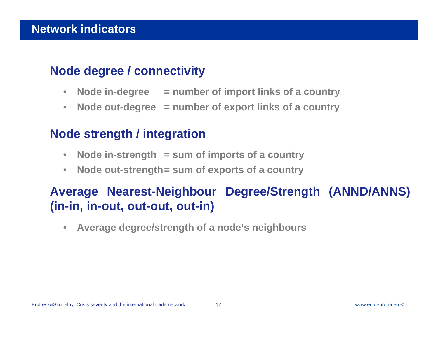# **Node degree / connectivity**

- **Node in-degree <sup>=</sup> number of import links of <sup>a</sup> country**
- $\bullet$ **Node out-degree <sup>=</sup> number of export links of <sup>a</sup> country**

# **Node strength / integration**

- $\bullet$ **Node in-strength <sup>=</sup> sum of imports of <sup>a</sup> country**
- $\bullet$ **Node out-strength= sum of exports of <sup>a</sup> country**

# **Average Nearest-Neighbour Degree/Strength (ANND/ANNS) (in-in, in-out, out-out, out-in)**

 $\bullet$ **Average degree/strength of <sup>a</sup> node's neighbours**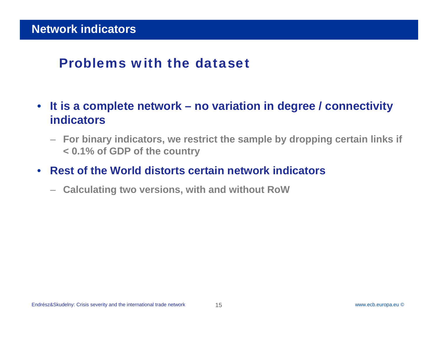# Problems with the dataset

- $\bullet$  **It is a complete network – no variation in degree / connectivity indicators**
	- **For binary indicators, we restrict the sample by dropping certain links if < 0.1% of GDP of the country**
- $\bullet$  **Rest of the World distorts certain network indicators**
	- –**Calculating two versions, with and without RoW**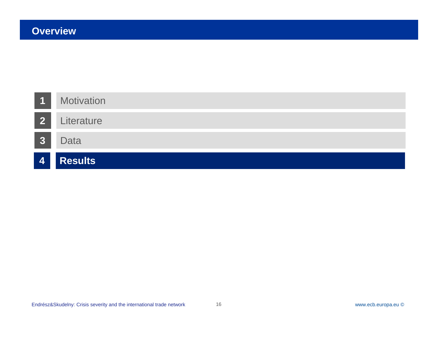| $\overline{1}$  | <b>Motivation</b> |
|-----------------|-------------------|
| 2               | Literature        |
| <b>3</b>        | <b>Data</b>       |
| $\vert 4 \vert$ | <b>Results</b>    |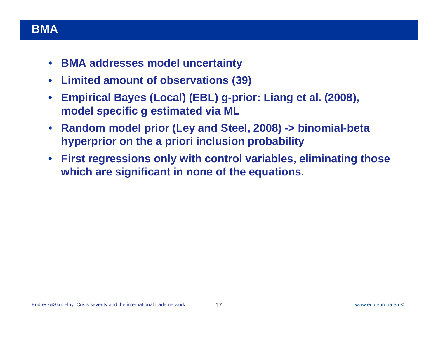#### Rubric**BMA**

- $\bullet$ **BMA addresses model uncertainty**
- $\bullet$ **Limited amount of observations (39)**
- $\bullet$  **Empirical Bayes (Local) (EBL) g-prior: Liang et al. (2008), model specific g estimated via ML**
- $\bullet$  **Random model prior (Ley and Steel, 2008) -> binomial-beta hyperprior on the a priori inclusion probability**
- $\bullet$  **First regressions only with control variables, eliminating those which are significant in none of the equations.**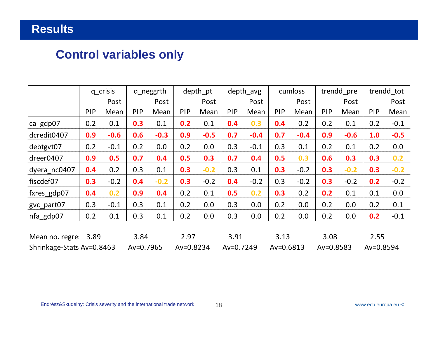# **Control variables only**

|                           |      | q_crisis |               | q_neggrth |               | depth pt |               | depth avg |               | cumloss |               | trendd pre | trendd tot    |        |
|---------------------------|------|----------|---------------|-----------|---------------|----------|---------------|-----------|---------------|---------|---------------|------------|---------------|--------|
|                           |      | Post     |               | Post      |               | Post     |               | Post      |               | Post    |               | Post       |               | Post   |
|                           | PIP  | Mean     | PIP           | Mean      | PIP           | Mean     | <b>PIP</b>    | Mean      | <b>PIP</b>    | Mean    | PIP           | Mean       | PIP           | Mean   |
| ca_gdp07                  | 0.2  | 0.1      | 0.3           | 0.1       | 0.2           | 0.1      | 0.4           | 0.3       | 0.4           | 0.2     | 0.2           | 0.1        | 0.2           | $-0.1$ |
| dcredit0407               | 0.9  | $-0.6$   | 0.6           | $-0.3$    | 0.9           | $-0.5$   | 0.7           | $-0.4$    | 0.7           | $-0.4$  | 0.9           | $-0.6$     | 1.0           | $-0.5$ |
| debtgvt07                 | 0.2  | $-0.1$   | 0.2           | 0.0       | 0.2           | 0.0      | 0.3           | $-0.1$    | 0.3           | 0.1     | 0.2           | 0.1        | 0.2           | 0.0    |
| dreer0407                 | 0.9  | 0.5      | 0.7           | 0.4       | 0.5           | 0.3      | 0.7           | 0.4       | 0.5           | 0.3     | 0.6           | 0.3        | 0.3           | 0.2    |
| dyera_nc0407              | 0.4  | 0.2      | 0.3           | 0.1       | 0.3           | $-0.2$   | 0.3           | 0.1       | 0.3           | $-0.2$  | 0.3           | $-0.2$     | 0.3           | $-0.2$ |
| fiscdef07                 | 0.3  | $-0.2$   | 0.4           | $-0.2$    | 0.3           | $-0.2$   | 0.4           | $-0.2$    | 0.3           | $-0.2$  | 0.3           | $-0.2$     | 0.2           | $-0.2$ |
| fxres_gdp07               | 0.4  | 0.2      | 0.9           | 0.4       | 0.2           | 0.1      | 0.5           | 0.2       | 0.3           | 0.2     | 0.2           | 0.1        | 0.1           | 0.0    |
| gvc_part07                | 0.3  | $-0.1$   | 0.3           | 0.1       | 0.2           | 0.0      | 0.3           | 0.0       | 0.2           | 0.0     | 0.2           | 0.0        | 0.2           | 0.1    |
| nfa gdp07                 | 0.2  | 0.1      | 0.3           | 0.1       | 0.2           | 0.0      | 0.3           | 0.0       | 0.2           | 0.0     | 0.2           | 0.0        | 0.2           | $-0.1$ |
|                           |      |          |               |           |               |          |               |           |               |         |               |            |               |        |
| Mean no. regres           | 3.89 |          | 3.84          |           | 2.97          |          | 3.91          |           | 3.13          |         | 3.08          |            | 2.55          |        |
| Shrinkage-Stats Av=0.8463 |      |          | $Av = 0.7965$ |           | $Av = 0.8234$ |          | $Av = 0.7249$ |           | $Av = 0.6813$ |         | $Av = 0.8583$ |            | $Av = 0.8594$ |        |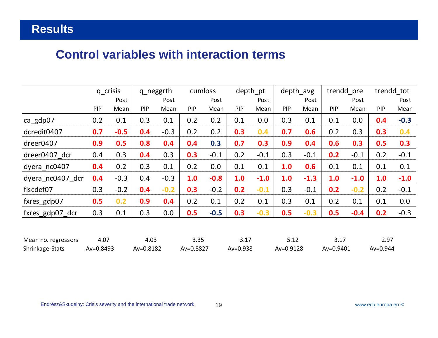### **Control variables with interaction terms**

|                  | q_crisis   |        | q_neggrth  |        |            | cumloss |            | depth pt |     | depth_avg | trendd_pre |        | trendd tot |        |
|------------------|------------|--------|------------|--------|------------|---------|------------|----------|-----|-----------|------------|--------|------------|--------|
|                  |            | Post   |            | Post   |            | Post    |            | Post     |     | Post      |            | Post   |            | Post   |
|                  | <b>PIP</b> | Mean   | <b>PIP</b> | Mean   | <b>PIP</b> | Mean    | <b>PIP</b> | Mean     | PIP | Mean      | <b>PIP</b> | Mean   | <b>PIP</b> | Mean   |
| ca_gdp07         | 0.2        | 0.1    | 0.3        | 0.1    | 0.2        | 0.2     | 0.1        | 0.0      | 0.3 | 0.1       | 0.1        | 0.0    | 0.4        | $-0.3$ |
| dcredit0407      | 0.7        | $-0.5$ | 0.4        | $-0.3$ | 0.2        | 0.2     | 0.3        | 0.4      | 0.7 | 0.6       | 0.2        | 0.3    | 0.3        | 0.4    |
| dreer0407        | 0.9        | 0.5    | 0.8        | 0.4    | 0.4        | 0.3     | 0.7        | 0.3      | 0.9 | 0.4       | 0.6        | 0.3    | 0.5        | 0.3    |
| dreer0407 dcr    | 0.4        | 0.3    | 0.4        | 0.3    | 0.3        | $-0.1$  | 0.2        | $-0.1$   | 0.3 | $-0.1$    | 0.2        | $-0.1$ | 0.2        | $-0.1$ |
| dyera nc0407     | 0.4        | 0.2    | 0.3        | 0.1    | 0.2        | 0.0     | 0.1        | 0.1      | 1.0 | 0.6       | 0.1        | 0.1    | 0.1        | 0.1    |
| dyera_nc0407 dcr | 0.4        | $-0.3$ | 0.4        | $-0.3$ | 1.0        | $-0.8$  | 1.0        | $-1.0$   | 1.0 | $-1.3$    | 1.0        | $-1.0$ | 1.0        | $-1.0$ |
| fiscdef07        | 0.3        | $-0.2$ | 0.4        | $-0.2$ | 0.3        | $-0.2$  | 0.2        | $-0.1$   | 0.3 | $-0.1$    | 0.2        | $-0.2$ | 0.2        | $-0.1$ |
| fxres_gdp07      | 0.5        | 0.2    | 0.9        | 0.4    | 0.2        | 0.1     | 0.2        | 0.1      | 0.3 | 0.1       | 0.2        | 0.1    | 0.1        | 0.0    |
| fxres_gdp07_dcr  | 0.3        | 0.1    | 0.3        | 0.0    | 0.5        | $-0.5$  | 0.3        | $-0.3$   | 0.5 | $-0.3$    | 0.5        | $-0.4$ | 0.2        | $-0.3$ |
|                  |            |        |            |        |            |         |            |          |     |           |            |        |            |        |
|                  |            |        |            |        |            |         |            |          |     |           |            |        |            |        |

| Mean no. regressors | 4.07          | 4.03      |           |          |           |           |              |
|---------------------|---------------|-----------|-----------|----------|-----------|-----------|--------------|
| Shrinkage-Stats     | $Av = 0.8493$ | Av=0.8182 | Av=0.8827 | Av=0.938 | Av=0.9128 | Av=0.9401 | $Av = 0.944$ |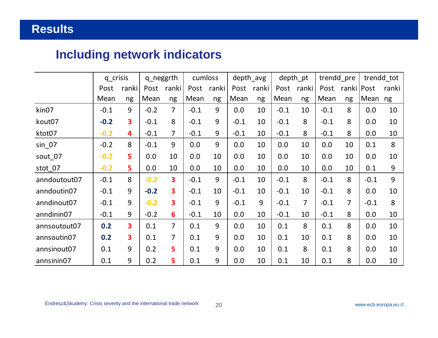# **Including network indicators**

|                   | q_crisis |                         | q_neggrth |                |        | cumloss |        | depth avg |        | depth_pt | trendd_pre |              |        | trendd tot |
|-------------------|----------|-------------------------|-----------|----------------|--------|---------|--------|-----------|--------|----------|------------|--------------|--------|------------|
|                   | Post     | ranki                   | Post      | ranki          | Post   | ranki   | Post   | ranki     | Post   | ranki    | Post       | ranki   Post |        | ranki      |
|                   | Mean     | ng                      | Mean      | ng             | Mean   | ng      | Mean   | ng        | Mean   | ng       | Mean       | ng           | Mean   | ng         |
| kin <sub>07</sub> | $-0.1$   | 9                       | $-0.2$    | 7              | $-0.1$ | 9       | 0.0    | 10        | $-0.1$ | 10       | $-0.1$     | 8            | 0.0    | 10         |
| kout07            | $-0.2$   | $\overline{\mathbf{3}}$ | $-0.1$    | 8              | $-0.1$ | 9       | $-0.1$ | 10        | $-0.1$ | 8        | $-0.1$     | 8            | 0.0    | 10         |
| ktot07            | $-0.2$   | 4                       | $-0.1$    | $\overline{7}$ | $-0.1$ | 9       | $-0.1$ | 10        | $-0.1$ | 8        | $-0.1$     | 8            | 0.0    | 10         |
| $sin_0$ 07        | $-0.2$   | 8                       | $-0.1$    | $\overline{9}$ | 0.0    | 9       | 0.0    | 10        | 0.0    | 10       | 0.0        | 10           | 0.1    | 8          |
| sout_07           | $-0.2$   | 5                       | 0.0       | 10             | 0.0    | 10      | 0.0    | 10        | 0.0    | 10       | 0.0        | 10           | 0.0    | 10         |
| stot 07           | $-0.2$   | 5                       | 0.0       | 10             | 0.0    | 10      | 0.0    | 10        | 0.0    | 10       | 0.0        | 10           | 0.1    | 9          |
| anndoutout07      | $-0.1$   | 8                       | $-0.2$    | 3              | $-0.1$ | 9       | $-0.1$ | 10        | $-0.1$ | 8        | $-0.1$     | 8            | $-0.1$ | 9          |
| anndoutin07       | $-0.1$   | 9                       | $-0.2$    | 3              | $-0.1$ | 10      | $-0.1$ | 10        | $-0.1$ | 10       | $-0.1$     | 8            | 0.0    | 10         |
| anndinout07       | $-0.1$   | 9                       | $-0.2$    | 3              | $-0.1$ | 9       | $-0.1$ | 9         | $-0.1$ | 7        | $-0.1$     | 7            | $-0.1$ | 8          |
| anndinin07        | $-0.1$   | 9                       | $-0.2$    | 6              | $-0.1$ | 10      | 0.0    | 10        | $-0.1$ | 10       | $-0.1$     | 8            | 0.0    | 10         |
| annsoutout07      | 0.2      | 3                       | 0.1       | $\overline{7}$ | 0.1    | 9       | 0.0    | 10        | 0.1    | 8        | 0.1        | 8            | 0.0    | 10         |
| annsoutin07       | 0.2      | 3                       | 0.1       | $\overline{7}$ | 0.1    | 9       | 0.0    | 10        | 0.1    | 10       | 0.1        | 8            | 0.0    | 10         |
| annsinout07       | 0.1      | 9                       | 0.2       | 5              | 0.1    | 9       | 0.0    | 10        | 0.1    | 8        | 0.1        | 8            | 0.0    | 10         |
| annsinin07        | 0.1      | 9                       | 0.2       | 5              | 0.1    | 9       | 0.0    | 10        | 0.1    | 10       | 0.1        | 8            | 0.0    | 10         |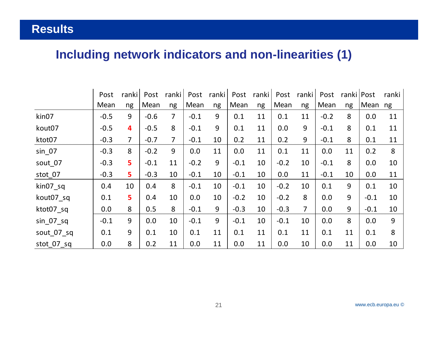# **Including network indicators and non-linearities (1)**

|                               | Post   | ranki                   | Post   | ranki          | Post   | ranki | Post   | ranki | Post   | ranki          | Post   | ranki   Post |        | ranki |
|-------------------------------|--------|-------------------------|--------|----------------|--------|-------|--------|-------|--------|----------------|--------|--------------|--------|-------|
|                               | Mean   | ng                      | Mean   | ng             | Mean   | ng    | Mean   | ng    | Mean   | ng             | Mean   | ng           | Mean   | ng    |
| kin07                         | $-0.5$ | 9                       | $-0.6$ | 7              | $-0.1$ | 9     | 0.1    | 11    | 0.1    | 11             | $-0.2$ | 8            | 0.0    | 11    |
| kout07                        | $-0.5$ | $\overline{\mathbf{4}}$ | $-0.5$ | 8              | $-0.1$ | 9     | 0.1    | 11    | 0.0    | 9              | $-0.1$ | 8            | 0.1    | 11    |
| ktot07                        | $-0.3$ | $\overline{7}$          | $-0.7$ | $\overline{7}$ | $-0.1$ | 10    | 0.2    | 11    | 0.2    | 9              | $-0.1$ | 8            | 0.1    | 11    |
| $sin_0$ 07                    | $-0.3$ | 8                       | $-0.2$ | 9              | 0.0    | 11    | 0.0    | 11    | 0.1    | 11             | 0.0    | 11           | 0.2    | 8     |
| sout 07                       | $-0.3$ | 5                       | $-0.1$ | 11             | $-0.2$ | 9     | $-0.1$ | 10    | $-0.2$ | 10             | $-0.1$ | 8            | 0.0    | 10    |
| stot_07                       | $-0.3$ | 5                       | $-0.3$ | 10             | $-0.1$ | 10    | $-0.1$ | 10    | 0.0    | 11             | $-0.1$ | 10           | 0.0    | 11    |
| $\text{kin}07$ <sub>_Sq</sub> | 0.4    | 10                      | 0.4    | 8              | $-0.1$ | 10    | $-0.1$ | 10    | $-0.2$ | 10             | 0.1    | 9            | 0.1    | 10    |
| kout07 sq                     | 0.1    | 5                       | 0.4    | 10             | 0.0    | 10    | $-0.2$ | 10    | $-0.2$ | 8              | 0.0    | 9            | $-0.1$ | 10    |
| ktot07 sq                     | 0.0    | 8                       | 0.5    | 8              | $-0.1$ | 9     | $-0.3$ | 10    | $-0.3$ | $\overline{7}$ | 0.0    | 9            | $-0.1$ | 10    |
| $sin_0 07$ sq                 | $-0.1$ | 9                       | 0.0    | 10             | $-0.1$ | 9     | $-0.1$ | 10    | $-0.1$ | 10             | 0.0    | 8            | 0.0    | 9     |
| sout 07 sq                    | 0.1    | 9                       | 0.1    | 10             | 0.1    | 11    | 0.1    | 11    | 0.1    | 11             | 0.1    | 11           | 0.1    | 8     |
| stot 07 sq                    | 0.0    | 8                       | 0.2    | 11             | 0.0    | 11    | 0.0    | 11    | 0.0    | 10             | 0.0    | 11           | 0.0    | 10    |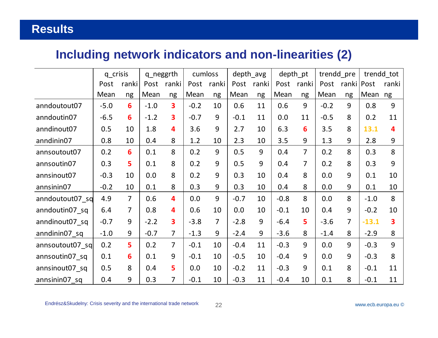# **Including network indicators and non-linearities (2)**

|                  | q_crisis |                 | q_neggrth |                |        | cumloss        |        | depth_avg |        | depth_pt       |        | trendd_pre     |         | trendd tot              |  |
|------------------|----------|-----------------|-----------|----------------|--------|----------------|--------|-----------|--------|----------------|--------|----------------|---------|-------------------------|--|
|                  | Post     | ranki           | Post      | ranki          | Post   | ranki          | Post   | ranki     | Post   | ranki          | Post   | ranki   Post   |         | ranki                   |  |
|                  | Mean     | ng              | Mean      | ng             | Mean   | ng             | Mean   | ng        | Mean   | ng             | Mean   | ng             | Mean    | ng                      |  |
| anndoutout07     | $-5.0$   | 6               | $-1.0$    | 3              | $-0.2$ | 10             | 0.6    | 11        | 0.6    | 9              | $-0.2$ | 9              | 0.8     | 9                       |  |
| anndoutin07      | $-6.5$   | 6               | $-1.2$    | 3              | $-0.7$ | 9              | $-0.1$ | 11        | 0.0    | 11             | $-0.5$ | 8              | 0.2     | 11                      |  |
| anndinout07      | 0.5      | 10              | 1.8       | 4              | 3.6    | 9              | 2.7    | 10        | 6.3    | 6              | 3.5    | 8              | 13.1    | $\overline{\mathbf{A}}$ |  |
| anndinin07       | 0.8      | 10              | 0.4       | 8              | 1.2    | 10             | 2.3    | 10        | 3.5    | 9              | 1.3    | 9              | 2.8     | 9                       |  |
| annsoutout07     | 0.2      | $6\phantom{1}6$ | 0.1       | 8              | 0.2    | 9              | 0.5    | 9         | 0.4    | $\overline{7}$ | 0.2    | 8              | 0.3     | 8                       |  |
| annsoutin07      | 0.3      | 5               | 0.1       | 8              | 0.2    | 9              | 0.5    | 9         | 0.4    | $\overline{7}$ | 0.2    | 8              | 0.3     | 9                       |  |
| annsinout07      | $-0.3$   | 10              | 0.0       | 8              | 0.2    | 9              | 0.3    | 10        | 0.4    | 8              | 0.0    | 9              | 0.1     | 10                      |  |
| annsinin07       | $-0.2$   | 10              | 0.1       | 8              | 0.3    | 9              | 0.3    | 10        | 0.4    | 8              | 0.0    | 9              | 0.1     | 10                      |  |
| anndoutout07_sq  | 4.9      | $\overline{7}$  | 0.6       | 4              | 0.0    | 9              | $-0.7$ | 10        | $-0.8$ | 8              | 0.0    | 8              | $-1.0$  | 8                       |  |
| anndoutin07 sq   | 6.4      | $\overline{7}$  | 0.8       | 4              | 0.6    | 10             | 0.0    | 10        | $-0.1$ | 10             | 0.4    | 9              | $-0.2$  | 10                      |  |
| anndinout07_sq   | $-0.7$   | 9               | $-2.2$    | 3              | $-3.8$ | $\overline{7}$ | $-2.8$ | 9         | $-6.4$ | 5              | $-3.6$ | $\overline{7}$ | $-13.1$ | 3                       |  |
| anndinin07_sq    | $-1.0$   | 9               | $-0.7$    | $\overline{7}$ | $-1.3$ | 9              | $-2.4$ | 9         | $-3.6$ | 8              | $-1.4$ | 8              | $-2.9$  | 8                       |  |
| annsoutout07_sql | 0.2      | 5               | 0.2       | $\overline{7}$ | $-0.1$ | 10             | $-0.4$ | 11        | $-0.3$ | 9              | 0.0    | 9              | $-0.3$  | 9                       |  |
| annsoutin07 sq   | 0.1      | 6               | 0.1       | 9              | $-0.1$ | 10             | $-0.5$ | 10        | $-0.4$ | 9              | 0.0    | 9              | $-0.3$  | 8                       |  |
| annsinout07 sq   | 0.5      | 8               | 0.4       | 5              | 0.0    | 10             | $-0.2$ | 11        | $-0.3$ | 9              | 0.1    | 8              | $-0.1$  | 11                      |  |
| annsinin07 sq    | 0.4      | 9               | 0.3       | $\overline{7}$ | $-0.1$ | 10             | $-0.3$ | 11        | $-0.4$ | 10             | 0.1    | 8              | $-0.1$  | 11                      |  |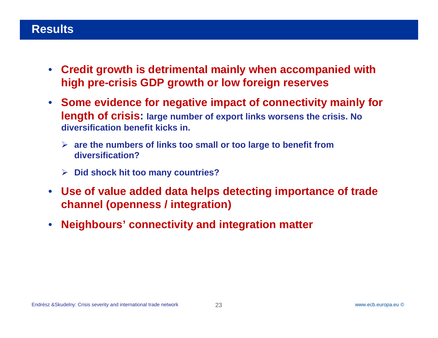- $\bullet$  **Credit growth is detrimental mainly when accompanied with high pre-crisis GDP growth or low foreign reserves**
- **Some evidence for negative impact of connectivity mainly for length of crisis: large number of export links worsens the crisis. No diversification benefit kicks in.** 
	- **are the numbers of links too small or too large to benefit from diversification?**
	- **Did shock hit too many countries?**
- **Use of value added data helps detecting importance of trade channel (openness / integration)**
- $\bullet$ **Neighbours' connectivity and integration matter**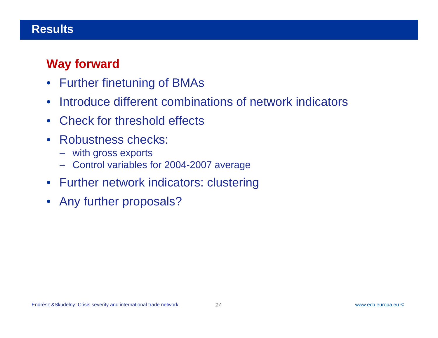# **Way forward**

- Further finetuning of BMAs
- $\bullet$ Introduce different combinations of network indicators
- $\bullet$ Check for threshold effects
- $\bullet$  Robustness checks:
	- with gross exports
	- Control variables for 2004-2007 average
- Further network indicators: clustering
- Any further proposals?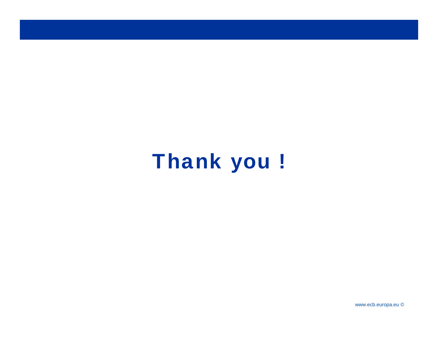# Thank you !

www.ecb.europa.eu ©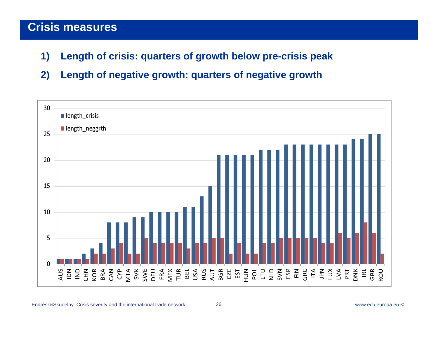- **1) Length of crisis: quarters of growth below pre-crisis peak**
- **2) Length of negative growth: quarters of negative growth**

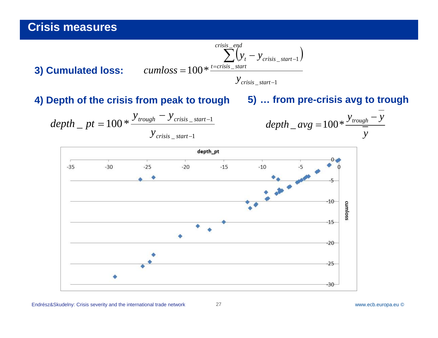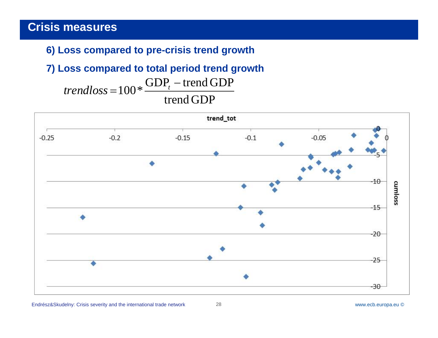#### **6) Loss compared to pre-crisis trend growth**

# **7) Loss compared to total period trend growth**

trend GDP $trendloss\!=\!100*\frac{\text{GDP}_t-\text{trend GDP}}{}$ 

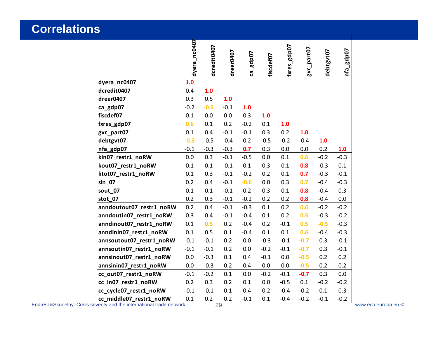#### **Correlations**

|                          | dyera_nc0407 | dcredit0407 | dreer0407 | ca_gdp07 | fiscdef07 | fxres_gdp07 | gvc_part07 | debtgvt07 | nfa_gdp07 |  |
|--------------------------|--------------|-------------|-----------|----------|-----------|-------------|------------|-----------|-----------|--|
| dyera_nc0407             | 1.0          |             |           |          |           |             |            |           |           |  |
| dcredit0407              | 0.4          | 1.0         |           |          |           |             |            |           |           |  |
| dreer0407                | 0.3          | 0.5         | 1.0       |          |           |             |            |           |           |  |
| ca_gdp07                 | $-0.2$       | $-0.5$      | $-0.1$    | 1.0      |           |             |            |           |           |  |
| fiscdef07                | 0.1          | 0.0         | 0.0       | 0.3      | 1.0       |             |            |           |           |  |
| fxres_gdp07              | 0.6          | 0.1         | 0.2       | $-0.2$   | 0.1       | 1.0         |            |           |           |  |
| gvc_part07               | 0.1          | 0.4         | $-0.1$    | $-0.1$   | 0.3       | 0.2         | 1.0        |           |           |  |
| debtgvt07                | $-0.5$       | $-0.5$      | $-0.4$    | 0.2      | $-0.5$    | $-0.2$      | $-0.4$     | 1.0       |           |  |
| nfa_gdp07                | $-0.1$       | $-0.3$      | $-0.3$    | 0.7      | 0.3       | $0.0\,$     | 0.0        | 0.2       | 1.0       |  |
| kin07_restr1_noRW        | 0.0          | 0.3         | $-0.1$    | $-0.5$   | 0.0       | 0.1         | 0.6        | $-0.2$    | $-0.3$    |  |
| kout07_restr1_noRW       | 0.1          | 0.1         | $-0.1$    | 0.1      | 0.3       | 0.1         | 0.8        | $-0.3$    | 0.1       |  |
| ktot07_restr1_noRW       | 0.1          | 0.3         | $-0.1$    | $-0.2$   | 0.2       | 0.1         | 0.7        | $-0.3$    | $-0.1$    |  |
| sin 07                   | 0.2          | 0.4         | $-0.1$    | $-0.6$   | 0.0       | 0.3         | 0.7        | $-0.4$    | $-0.3$    |  |
| sout_07                  | 0.1          | 0.1         | $-0.1$    | 0.2      | 0.3       | 0.1         | 0.8        | $-0.4$    | 0.3       |  |
| stot_07                  | 0.2          | 0.3         | $-0.1$    | $-0.2$   | 0.2       | 0.2         | 0.8        | $-0.4$    | 0.0       |  |
| anndoutout07_restr1_noRW | 0.2          | 0.4         | $-0.1$    | $-0.3$   | 0.1       | 0.2         | 0.6        | $-0.2$    | $-0.2$    |  |
| anndoutin07_restr1_noRW  | 0.3          | 0.4         | $-0.1$    | $-0.4$   | 0.1       | 0.2         | 0.5        | $-0.3$    | $-0.2$    |  |
| anndinout07_restr1_noRW  | 0.1          | 0.5         | 0.2       | $-0.4$   | 0.2       | $-0.1$      | 0.5        | $-0.5$    | $-0.3$    |  |
| anndinin07_restr1_noRW   | 0.1          | 0.5         | 0.1       | $-0.4$   | 0.1       | 0.1         | 0.6        | $-0.4$    | $-0.3$    |  |
| annsoutout07_restr1_noRW | $-0.1$       | $-0.1$      | 0.2       | 0.0      | $-0.3$    | $-0.1$      | $-0.7$     | 0.3       | $-0.1$    |  |
| annsoutin07_restr1_noRW  | $-0.1$       | $-0.1$      | 0.2       | 0.0      | $-0.2$    | $-0.1$      | $-0.7$     | 0.3       | $-0.1$    |  |
| annsinout07_restr1_noRW  | 0.0          | $-0.3$      | 0.1       | 0.4      | $-0.1$    | 0.0         | $-0.5$     | 0.2       | 0.2       |  |
| annsinin07_restr1_noRW   | 0.0          | $-0.3$      | 0.2       | 0.4      | 0.0       | 0.0         | $-0.5$     | 0.2       | 0.2       |  |
| cc_out07_restr1_noRW     | $-0.1$       | $-0.2$      | 0.1       | 0.0      | $-0.2$    | $-0.1$      | $-0.7$     | 0.3       | 0.0       |  |
| cc_in07_restr1_noRW      | 0.2          | 0.3         | 0.2       | 0.1      | 0.0       | $-0.5$      | 0.1        | $-0.2$    | $-0.2$    |  |
| cc_cycle07_restr1_noRW   | $-0.1$       | $-0.1$      | 0.1       | 0.4      | 0.2       | $-0.4$      | $-0.2$     | 0.1       | 0.3       |  |
| cc_middle07_restr1_noRW  | 0.1          | 0.2         | 0.2       | $-0.1$   | 0.1       | $-0.4$      | $-0.2$     | $-0.1$    | $-0.2$    |  |

Endrész&Skudelny: Crisis severity and the international trade network

www.ecb.europa.eu ©